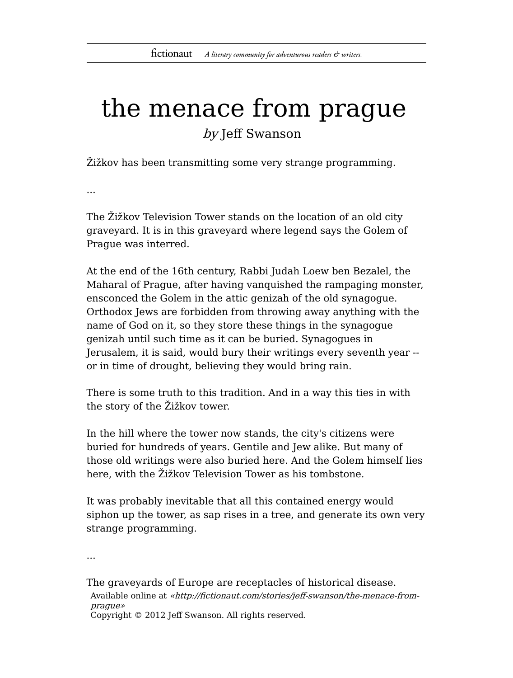## the menace from prague by Jeff Swanson

Žižkov has been transmitting some very strange programming.

...

The Žižkov Television Tower stands on the location of an old city graveyard. It is in this graveyard where legend says the Golem of Prague was interred.

At the end of the 16th century, Rabbi Judah Loew ben Bezalel, the Maharal of Prague, after having vanquished the rampaging monster, ensconced the Golem in the attic genizah of the old synagogue. Orthodox Jews are forbidden from throwing away anything with the name of God on it, so they store these things in the synagogue genizah until such time as it can be buried. Synagogues in Jerusalem, it is said, would bury their writings every seventh year - or in time of drought, believing they would bring rain.

There is some truth to this tradition. And in a way this ties in with the story of the Žižkov tower.

In the hill where the tower now stands, the city's citizens were buried for hundreds of years. Gentile and Jew alike. But many of those old writings were also buried here. And the Golem himself lies here, with the Žižkov Television Tower as his tombstone.

It was probably inevitable that all this contained energy would siphon up the tower, as sap rises in a tree, and generate its own very strange programming.

...

The graveyards of Europe are receptacles of historical disease.

Available online at «http://fictionaut.com/stories/jeff-swanson/the-menace-fromprague» Copyright © 2012 Jeff Swanson. All rights reserved.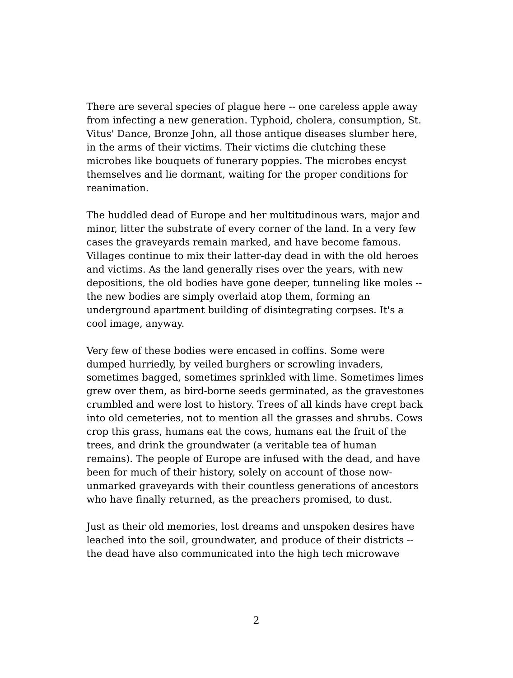There are several species of plague here -- one careless apple away from infecting a new generation. Typhoid, cholera, consumption, St. Vitus' Dance, Bronze John, all those antique diseases slumber here, in the arms of their victims. Their victims die clutching these microbes like bouquets of funerary poppies. The microbes encyst themselves and lie dormant, waiting for the proper conditions for reanimation.

The huddled dead of Europe and her multitudinous wars, major and minor, litter the substrate of every corner of the land. In a very few cases the graveyards remain marked, and have become famous. Villages continue to mix their latter-day dead in with the old heroes and victims. As the land generally rises over the years, with new depositions, the old bodies have gone deeper, tunneling like moles - the new bodies are simply overlaid atop them, forming an underground apartment building of disintegrating corpses. It's a cool image, anyway.

Very few of these bodies were encased in coffins. Some were dumped hurriedly, by veiled burghers or scrowling invaders, sometimes bagged, sometimes sprinkled with lime. Sometimes limes grew over them, as bird-borne seeds germinated, as the gravestones crumbled and were lost to history. Trees of all kinds have crept back into old cemeteries, not to mention all the grasses and shrubs. Cows crop this grass, humans eat the cows, humans eat the fruit of the trees, and drink the groundwater (a veritable tea of human remains). The people of Europe are infused with the dead, and have been for much of their history, solely on account of those nowunmarked graveyards with their countless generations of ancestors who have finally returned, as the preachers promised, to dust.

Just as their old memories, lost dreams and unspoken desires have leached into the soil, groundwater, and produce of their districts - the dead have also communicated into the high tech microwave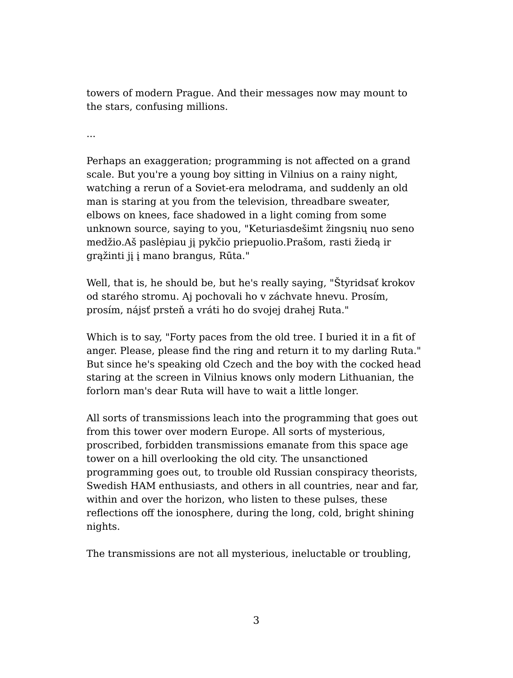towers of modern Prague. And their messages now may mount to the stars, confusing millions.

...

Perhaps an exaggeration; programming is not affected on a grand scale. But you're a young boy sitting in Vilnius on a rainy night, watching a rerun of a Soviet-era melodrama, and suddenly an old man is staring at you from the television, threadbare sweater, elbows on knees, face shadowed in a light coming from some unknown source, saying to you, "Keturiasdešimt žingsnių nuo seno medžio.Aš paslėpiau jį pykčio priepuolio.Prašom, rasti žiedą ir grąžinti jį į mano brangus, Rūta."

Well, that is, he should be, but he's really saying, "Štyridsať krokov od starého stromu. Aj pochovali ho v záchvate hnevu. Prosím, prosím, nájsť prsteň a vráti ho do svojej drahej Ruta."

Which is to say, "Forty paces from the old tree. I buried it in a fit of anger. Please, please find the ring and return it to my darling Ruta." But since he's speaking old Czech and the boy with the cocked head staring at the screen in Vilnius knows only modern Lithuanian, the forlorn man's dear Ruta will have to wait a little longer.

All sorts of transmissions leach into the programming that goes out from this tower over modern Europe. All sorts of mysterious, proscribed, forbidden transmissions emanate from this space age tower on a hill overlooking the old city. The unsanctioned programming goes out, to trouble old Russian conspiracy theorists, Swedish HAM enthusiasts, and others in all countries, near and far, within and over the horizon, who listen to these pulses, these reflections off the ionosphere, during the long, cold, bright shining nights.

The transmissions are not all mysterious, ineluctable or troubling,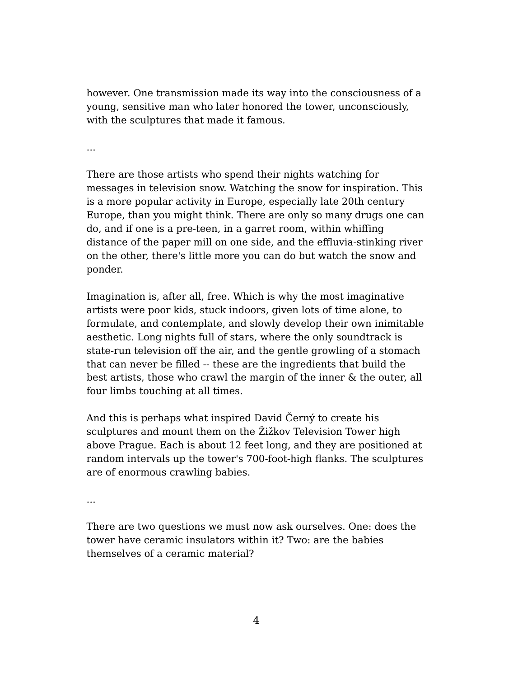however. One transmission made its way into the consciousness of a young, sensitive man who later honored the tower, unconsciously, with the sculptures that made it famous.

...

There are those artists who spend their nights watching for messages in television snow. Watching the snow for inspiration. This is a more popular activity in Europe, especially late 20th century Europe, than you might think. There are only so many drugs one can do, and if one is a pre-teen, in a garret room, within whiffing distance of the paper mill on one side, and the effluvia-stinking river on the other, there's little more you can do but watch the snow and ponder.

Imagination is, after all, free. Which is why the most imaginative artists were poor kids, stuck indoors, given lots of time alone, to formulate, and contemplate, and slowly develop their own inimitable aesthetic. Long nights full of stars, where the only soundtrack is state-run television off the air, and the gentle growling of a stomach that can never be filled -- these are the ingredients that build the best artists, those who crawl the margin of the inner & the outer, all four limbs touching at all times.

And this is perhaps what inspired David Černý to create his sculptures and mount them on the Žižkov Television Tower high above Prague. Each is about 12 feet long, and they are positioned at random intervals up the tower's 700-foot-high flanks. The sculptures are of enormous crawling babies.

...

There are two questions we must now ask ourselves. One: does the tower have ceramic insulators within it? Two: are the babies themselves of a ceramic material?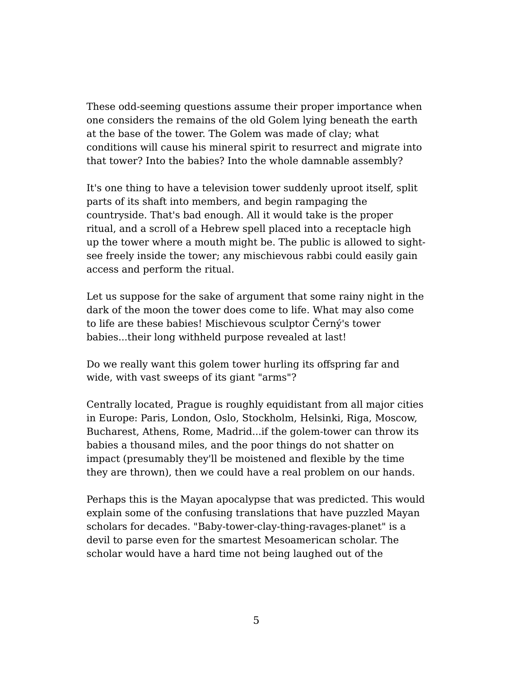These odd-seeming questions assume their proper importance when one considers the remains of the old Golem lying beneath the earth at the base of the tower. The Golem was made of clay; what conditions will cause his mineral spirit to resurrect and migrate into that tower? Into the babies? Into the whole damnable assembly?

It's one thing to have a television tower suddenly uproot itself, split parts of its shaft into members, and begin rampaging the countryside. That's bad enough. All it would take is the proper ritual, and a scroll of a Hebrew spell placed into a receptacle high up the tower where a mouth might be. The public is allowed to sightsee freely inside the tower; any mischievous rabbi could easily gain access and perform the ritual.

Let us suppose for the sake of argument that some rainy night in the dark of the moon the tower does come to life. What may also come to life are these babies! Mischievous sculptor Černý's tower babies...their long withheld purpose revealed at last!

Do we really want this golem tower hurling its offspring far and wide, with vast sweeps of its giant "arms"?

Centrally located, Prague is roughly equidistant from all major cities in Europe: Paris, London, Oslo, Stockholm, Helsinki, Riga, Moscow, Bucharest, Athens, Rome, Madrid...if the golem-tower can throw its babies a thousand miles, and the poor things do not shatter on impact (presumably they'll be moistened and flexible by the time they are thrown), then we could have a real problem on our hands.

Perhaps this is the Mayan apocalypse that was predicted. This would explain some of the confusing translations that have puzzled Mayan scholars for decades. "Baby-tower-clay-thing-ravages-planet" is a devil to parse even for the smartest Mesoamerican scholar. The scholar would have a hard time not being laughed out of the